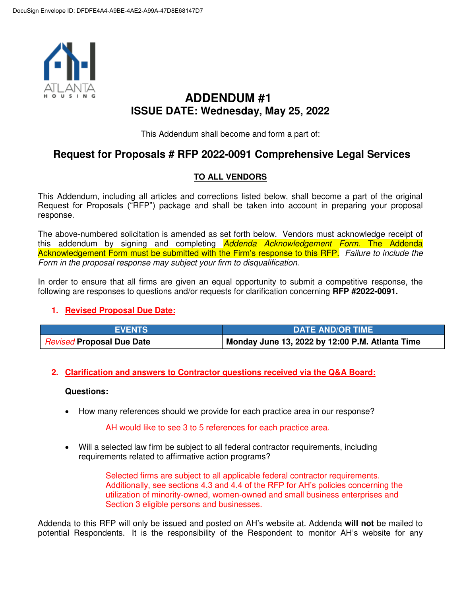

# **ADDENDUM #1 ISSUE DATE: Wednesday, May 25, 2022**

This Addendum shall become and form a part of:

## **Request for Proposals # RFP 2022-0091 Comprehensive Legal Services**

## **TO ALL VENDORS**

This Addendum, including all articles and corrections listed below, shall become a part of the original Request for Proposals ("RFP") package and shall be taken into account in preparing your proposal response.

The above-numbered solicitation is amended as set forth below. Vendors must acknowledge receipt of this addendum by signing and completing **Addenda Acknowledgement Form. The Addenda** Acknowledgement Form must be submitted with the Firm's response to this RFP. Failure to include the Form in the proposal response may subject your firm to disqualification.

In order to ensure that all firms are given an equal opportunity to submit a competitive response, the following are responses to questions and/or requests for clarification concerning **RFP #2022-0091.** 

## **1. Revised Proposal Due Date:**

| <b>EVENTS</b>                    | <b>DATE AND/OR TIME</b>                         |
|----------------------------------|-------------------------------------------------|
| <b>Revised Proposal Due Date</b> | Monday June 13, 2022 by 12:00 P.M. Atlanta Time |

### **2. Clarification and answers to Contractor questions received via the Q&A Board:**

#### **Questions:**

How many references should we provide for each practice area in our response?

AH would like to see 3 to 5 references for each practice area.

 Will a selected law firm be subject to all federal contractor requirements, including requirements related to affirmative action programs?

> Selected firms are subject to all applicable federal contractor requirements. Additionally, see sections 4.3 and 4.4 of the RFP for AH's policies concerning the utilization of minority-owned, women-owned and small business enterprises and Section 3 eligible persons and businesses.

Addenda to this RFP will only be issued and posted on AH's website at. Addenda **will not** be mailed to potential Respondents. It is the responsibility of the Respondent to monitor AH's website for any